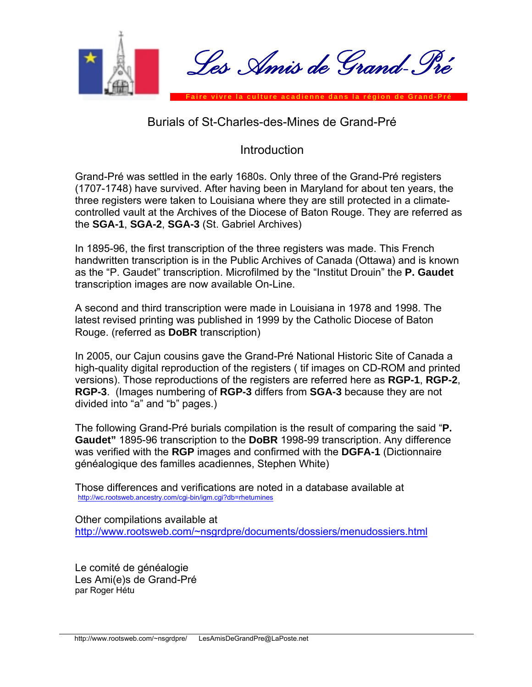

## Burials of St-Charles-des-Mines de Grand-Pré

# Introduction

Grand-Pré was settled in the early 1680s. Only three of the Grand-Pré registers (1707-1748) have survived. After having been in Maryland for about ten years, the three registers were taken to Louisiana where they are still protected in a climatecontrolled vault at the Archives of the Diocese of Baton Rouge. They are referred as the **SGA-1**, **SGA-2**, **SGA-3** (St. Gabriel Archives)

In 1895-96, the first transcription of the three registers was made. This French handwritten transcription is in the Public Archives of Canada (Ottawa) and is known as the "P. Gaudet" transcription. Microfilmed by the "Institut Drouin" the **P. Gaudet** transcription images are now available On-Line.

A second and third transcription were made in Louisiana in 1978 and 1998. The latest revised printing was published in 1999 by the Catholic Diocese of Baton Rouge. (referred as **DoBR** transcription)

In 2005, our Cajun cousins gave the Grand-Pré National Historic Site of Canada a high-quality digital reproduction of the registers ( tif images on CD-ROM and printed versions). Those reproductions of the registers are referred here as **RGP-1**, **RGP-2**, **RGP-3**. (Images numbering of **RGP-3** differs from **SGA-3** because they are not divided into "a" and "b" pages.)

The following Grand-Pré burials compilation is the result of comparing the said "**P. Gaudet"** 1895-96 transcription to the **DoBR** 1998-99 transcription. Any difference was verified with the **RGP** images and confirmed with the **DGFA-1** (Dictionnaire généalogique des familles acadiennes, Stephen White)

Those differences and verifications are noted in a database available at <http://wc.rootsweb.ancestry.com/cgi-bin/igm.cgi?db=rhetumines>

Other compilations available at [http://www.rootsweb.com/~nsgrdpre/documents/dossiers/menudossiers.html](http://www.rootsweb.com/%7Ensgrdpre/documents/dossiers/menudossiers.html)

Le comité de généalogie Les Ami(e)s de Grand-Pré par Roger Hétu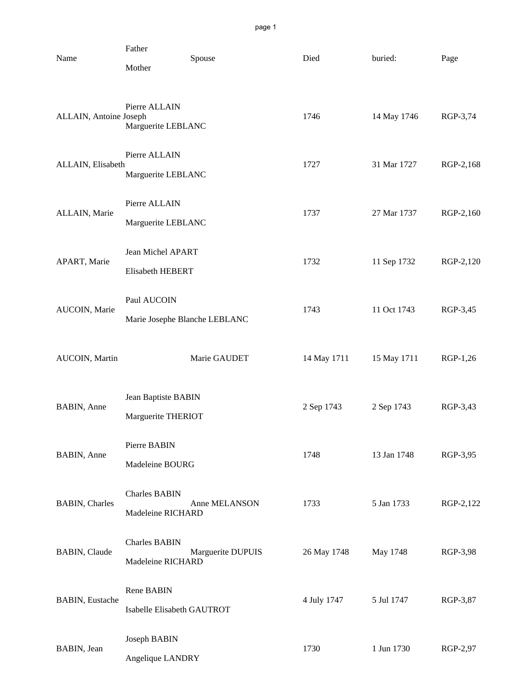| Name                   | Father<br>Spouse<br>Mother                   |                   | Died        | buried:     | Page      |
|------------------------|----------------------------------------------|-------------------|-------------|-------------|-----------|
| ALLAIN, Antoine Joseph | Pierre ALLAIN<br>Marguerite LEBLANC          |                   | 1746        | 14 May 1746 | RGP-3,74  |
| ALLAIN, Elisabeth      | Pierre ALLAIN<br>Marguerite LEBLANC          |                   | 1727        | 31 Mar 1727 | RGP-2,168 |
| ALLAIN, Marie          | Pierre ALLAIN<br>Marguerite LEBLANC          |                   | 1737        | 27 Mar 1737 | RGP-2,160 |
| APART, Marie           | Jean Michel APART<br>Elisabeth HEBERT        |                   | 1732        | 11 Sep 1732 | RGP-2,120 |
| AUCOIN, Marie          | Paul AUCOIN<br>Marie Josephe Blanche LEBLANC |                   | 1743        | 11 Oct 1743 | RGP-3,45  |
| AUCOIN, Martin         |                                              | Marie GAUDET      | 14 May 1711 | 15 May 1711 | RGP-1,26  |
| BABIN, Anne            | Jean Baptiste BABIN<br>Marguerite THERIOT    |                   | 2 Sep 1743  | 2 Sep 1743  | RGP-3,43  |
| BABIN, Anne            | Pierre BABIN<br>Madeleine BOURG              |                   | 1748        | 13 Jan 1748 | RGP-3,95  |
| <b>BABIN</b> , Charles | <b>Charles BABIN</b><br>Madeleine RICHARD    | Anne MELANSON     | 1733        | 5 Jan 1733  | RGP-2,122 |
| <b>BABIN, Claude</b>   | <b>Charles BABIN</b><br>Madeleine RICHARD    | Marguerite DUPUIS | 26 May 1748 | May 1748    | RGP-3,98  |
| <b>BABIN, Eustache</b> | Rene BABIN<br>Isabelle Elisabeth GAUTROT     |                   | 4 July 1747 | 5 Jul 1747  | RGP-3,87  |
| BABIN, Jean            | Joseph BABIN<br>Angelique LANDRY             |                   | 1730        | 1 Jun 1730  | RGP-2,97  |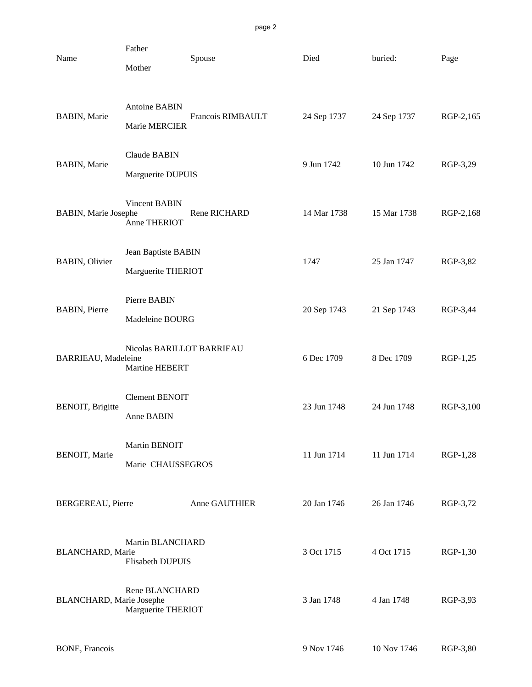| Name                            | Father<br>Mother                            | Spouse            | Died        | buried:     | Page      |
|---------------------------------|---------------------------------------------|-------------------|-------------|-------------|-----------|
| <b>BABIN</b> , Marie            | <b>Antoine BABIN</b><br>Marie MERCIER       | Francois RIMBAULT | 24 Sep 1737 | 24 Sep 1737 | RGP-2,165 |
| <b>BABIN, Marie</b>             | <b>Claude BABIN</b><br>Marguerite DUPUIS    |                   | 9 Jun 1742  | 10 Jun 1742 | RGP-3,29  |
| <b>BABIN, Marie Josephe</b>     | <b>Vincent BABIN</b><br>Anne THERIOT        | Rene RICHARD      | 14 Mar 1738 | 15 Mar 1738 | RGP-2,168 |
| <b>BABIN</b> , Olivier          | Jean Baptiste BABIN<br>Marguerite THERIOT   |                   | 1747        | 25 Jan 1747 | RGP-3,82  |
| <b>BABIN</b> , Pierre           | Pierre BABIN<br>Madeleine BOURG             |                   | 20 Sep 1743 | 21 Sep 1743 | RGP-3,44  |
| BARRIEAU, Madeleine             | Nicolas BARILLOT BARRIEAU<br>Martine HEBERT |                   | 6 Dec 1709  | 8 Dec 1709  | RGP-1,25  |
| <b>BENOIT</b> , Brigitte        | <b>Clement BENOIT</b><br>Anne BABIN         |                   | 23 Jun 1748 | 24 Jun 1748 | RGP-3,100 |
| BENOIT, Marie                   | Martin BENOIT<br>Marie CHAUSSEGROS          |                   | 11 Jun 1714 | 11 Jun 1714 | RGP-1,28  |
| <b>BERGEREAU</b> , Pierre       |                                             | Anne GAUTHIER     | 20 Jan 1746 | 26 Jan 1746 | RGP-3,72  |
| <b>BLANCHARD, Marie</b>         | Martin BLANCHARD<br>Elisabeth DUPUIS        |                   | 3 Oct 1715  | 4 Oct 1715  | RGP-1,30  |
| <b>BLANCHARD, Marie Josephe</b> | Rene BLANCHARD<br>Marguerite THERIOT        |                   | 3 Jan 1748  | 4 Jan 1748  | RGP-3,93  |
|                                 |                                             |                   |             |             |           |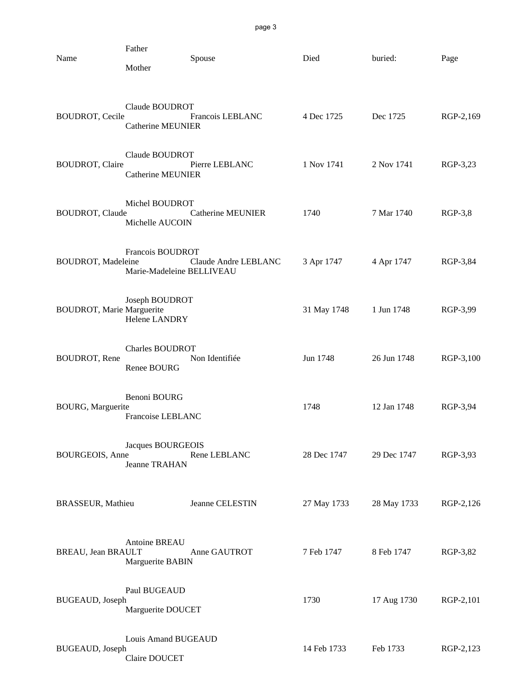| Name                             | Father<br>Mother                              | Spouse                   | Died        | buried:     | Page      |
|----------------------------------|-----------------------------------------------|--------------------------|-------------|-------------|-----------|
| <b>BOUDROT, Cecile</b>           | Claude BOUDROT<br><b>Catherine MEUNIER</b>    | Francois LEBLANC         | 4 Dec 1725  | Dec 1725    | RGP-2,169 |
| <b>BOUDROT</b> , Claire          | Claude BOUDROT<br><b>Catherine MEUNIER</b>    | Pierre LEBLANC           | 1 Nov 1741  | 2 Nov 1741  | RGP-3,23  |
| <b>BOUDROT, Claude</b>           | Michel BOUDROT<br>Michelle AUCOIN             | <b>Catherine MEUNIER</b> | 1740        | 7 Mar 1740  | $RGP-3,8$ |
| <b>BOUDROT, Madeleine</b>        | Francois BOUDROT<br>Marie-Madeleine BELLIVEAU | Claude Andre LEBLANC     | 3 Apr 1747  | 4 Apr 1747  | RGP-3,84  |
| <b>BOUDROT, Marie Marguerite</b> | Joseph BOUDROT<br>Helene LANDRY               |                          | 31 May 1748 | 1 Jun 1748  | RGP-3,99  |
| <b>BOUDROT</b> , Rene            | <b>Charles BOUDROT</b><br>Renee BOURG         | Non Identifiée           | Jun 1748    | 26 Jun 1748 | RGP-3,100 |
| BOURG, Marguerite                | Benoni BOURG<br>Francoise LEBLANC             |                          | 1748        | 12 Jan 1748 | RGP-3,94  |
| <b>BOURGEOIS</b> , Anne          | Jacques BOURGEOIS<br>Jeanne TRAHAN            | Rene LEBLANC             | 28 Dec 1747 | 29 Dec 1747 | RGP-3,93  |
| <b>BRASSEUR, Mathieu</b>         |                                               | Jeanne CELESTIN          | 27 May 1733 | 28 May 1733 | RGP-2,126 |
| BREAU, Jean BRAULT               | Antoine BREAU<br>Marguerite BABIN             | Anne GAUTROT             | 7 Feb 1747  | 8 Feb 1747  | RGP-3,82  |
| <b>BUGEAUD</b> , Joseph          | Paul BUGEAUD<br>Marguerite DOUCET             |                          | 1730        | 17 Aug 1730 | RGP-2,101 |
| <b>BUGEAUD</b> , Joseph          | Louis Amand BUGEAUD<br>Claire DOUCET          |                          | 14 Feb 1733 | Feb 1733    | RGP-2,123 |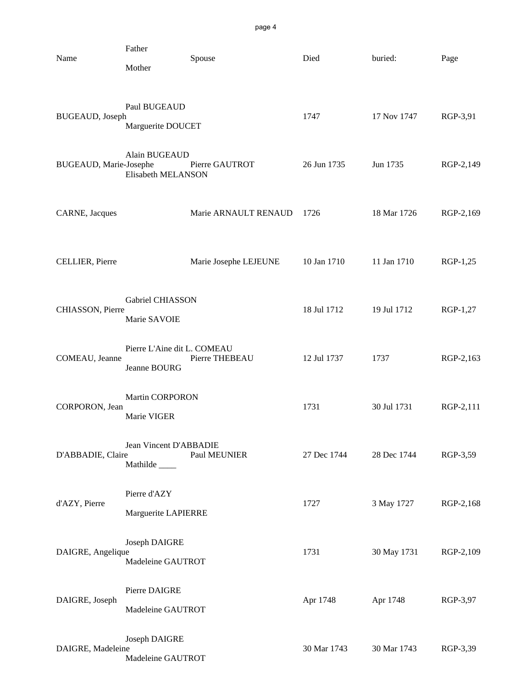| Name                   | Father<br>Mother                            | Spouse                | Died        | buried:     | Page      |
|------------------------|---------------------------------------------|-----------------------|-------------|-------------|-----------|
| BUGEAUD, Joseph        | Paul BUGEAUD<br>Marguerite DOUCET           |                       | 1747        | 17 Nov 1747 | RGP-3,91  |
| BUGEAUD, Marie-Josephe | Alain BUGEAUD<br>Elisabeth MELANSON         | Pierre GAUTROT        | 26 Jun 1735 | Jun 1735    | RGP-2,149 |
| CARNE, Jacques         |                                             | Marie ARNAULT RENAUD  | 1726        | 18 Mar 1726 | RGP-2,169 |
| CELLIER, Pierre        |                                             | Marie Josephe LEJEUNE | 10 Jan 1710 | 11 Jan 1710 | RGP-1,25  |
| CHIASSON, Pierre       | Gabriel CHIASSON<br>Marie SAVOIE            |                       | 18 Jul 1712 | 19 Jul 1712 | RGP-1,27  |
| COMEAU, Jeanne         | Pierre L'Aine dit L. COMEAU<br>Jeanne BOURG | Pierre THEBEAU        | 12 Jul 1737 | 1737        | RGP-2,163 |
| CORPORON, Jean         | <b>Martin CORPORON</b><br>Marie VIGER       |                       | 1731        | 30 Jul 1731 | RGP-2,111 |
| D'ABBADIE, Claire      | Jean Vincent D'ABBADIE<br>Mathilde          | Paul MEUNIER          | 27 Dec 1744 | 28 Dec 1744 | RGP-3,59  |
| d'AZY, Pierre          | Pierre d'AZY<br>Marguerite LAPIERRE         |                       | 1727        | 3 May 1727  | RGP-2,168 |
| DAIGRE, Angelique      | Joseph DAIGRE<br>Madeleine GAUTROT          |                       | 1731        | 30 May 1731 | RGP-2,109 |
| DAIGRE, Joseph         | Pierre DAIGRE<br>Madeleine GAUTROT          |                       | Apr 1748    | Apr 1748    | RGP-3,97  |
| DAIGRE, Madeleine      | Joseph DAIGRE<br>Madeleine GAUTROT          |                       | 30 Mar 1743 | 30 Mar 1743 | RGP-3,39  |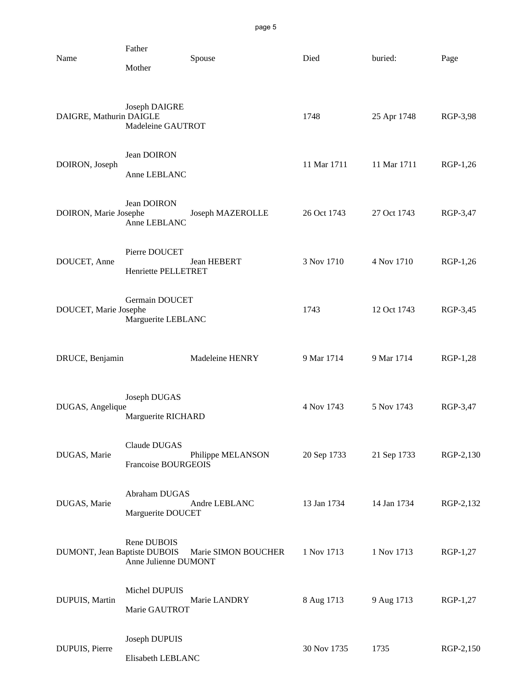| Name                         | Father<br>Mother                           | Spouse              | Died        | buried:     | Page      |
|------------------------------|--------------------------------------------|---------------------|-------------|-------------|-----------|
| DAIGRE, Mathurin DAIGLE      | Joseph DAIGRE<br>Madeleine GAUTROT         |                     | 1748        | 25 Apr 1748 | RGP-3,98  |
| DOIRON, Joseph               | Jean DOIRON<br>Anne LEBLANC                |                     | 11 Mar 1711 | 11 Mar 1711 | RGP-1,26  |
| DOIRON, Marie Josephe        | Jean DOIRON<br>Anne LEBLANC                | Joseph MAZEROLLE    | 26 Oct 1743 | 27 Oct 1743 | RGP-3,47  |
| DOUCET, Anne                 | Pierre DOUCET<br>Henriette PELLETRET       | <b>Jean HEBERT</b>  | 3 Nov 1710  | 4 Nov 1710  | RGP-1,26  |
| DOUCET, Marie Josephe        | Germain DOUCET<br>Marguerite LEBLANC       |                     | 1743        | 12 Oct 1743 | RGP-3,45  |
| DRUCE, Benjamin              |                                            | Madeleine HENRY     | 9 Mar 1714  | 9 Mar 1714  | RGP-1,28  |
| DUGAS, Angelique             | Joseph DUGAS<br>Marguerite RICHARD         |                     | 4 Nov 1743  | 5 Nov 1743  | RGP-3,47  |
| DUGAS, Marie                 | Claude DUGAS<br><b>Francoise BOURGEOIS</b> | Philippe MELANSON   | 20 Sep 1733 | 21 Sep 1733 | RGP-2,130 |
| DUGAS, Marie                 | Abraham DUGAS<br>Marguerite DOUCET         | Andre LEBLANC       | 13 Jan 1734 | 14 Jan 1734 | RGP-2,132 |
| DUMONT, Jean Baptiste DUBOIS | Rene DUBOIS<br>Anne Julienne DUMONT        | Marie SIMON BOUCHER | 1 Nov 1713  | 1 Nov 1713  | RGP-1,27  |
| DUPUIS, Martin               | Michel DUPUIS<br>Marie GAUTROT             | Marie LANDRY        | 8 Aug 1713  | 9 Aug 1713  | RGP-1,27  |
| DUPUIS, Pierre               | Joseph DUPUIS                              |                     | 30 Nov 1735 | 1735        | RGP-2,150 |

Elisabeth LEBLANC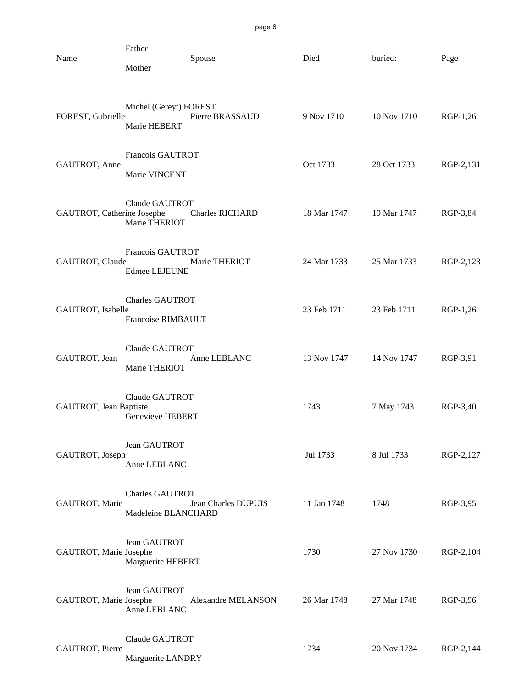| Name                       | Father<br>Mother                              | Spouse                    | Died        | buried:     | Page      |
|----------------------------|-----------------------------------------------|---------------------------|-------------|-------------|-----------|
| FOREST, Gabrielle          | Michel (Gereyt) FOREST<br>Marie HEBERT        | Pierre BRASSAUD           | 9 Nov 1710  | 10 Nov 1710 | RGP-1,26  |
| GAUTROT, Anne              | Francois GAUTROT<br>Marie VINCENT             |                           | Oct 1733    | 28 Oct 1733 | RGP-2,131 |
| GAUTROT, Catherine Josephe | Claude GAUTROT<br>Marie THERIOT               | <b>Charles RICHARD</b>    | 18 Mar 1747 | 19 Mar 1747 | RGP-3,84  |
| GAUTROT, Claude            | Francois GAUTROT<br><b>Edmee LEJEUNE</b>      | Marie THERIOT             | 24 Mar 1733 | 25 Mar 1733 | RGP-2,123 |
| GAUTROT, Isabelle          | <b>Charles GAUTROT</b><br>Francoise RIMBAULT  |                           | 23 Feb 1711 | 23 Feb 1711 | RGP-1,26  |
| GAUTROT, Jean              | Claude GAUTROT<br>Marie THERIOT               | Anne LEBLANC              | 13 Nov 1747 | 14 Nov 1747 | RGP-3,91  |
| GAUTROT, Jean Baptiste     | Claude GAUTROT<br>Genevieve HEBERT            |                           | 1743        | 7 May 1743  | RGP-3,40  |
| GAUTROT, Joseph            | Jean GAUTROT<br>Anne LEBLANC                  |                           | Jul 1733    | 8 Jul 1733  | RGP-2,127 |
| GAUTROT, Marie             | <b>Charles GAUTROT</b><br>Madeleine BLANCHARD | Jean Charles DUPUIS       | 11 Jan 1748 | 1748        | RGP-3,95  |
| GAUTROT, Marie Josephe     | Jean GAUTROT<br>Marguerite HEBERT             |                           | 1730        | 27 Nov 1730 | RGP-2,104 |
| GAUTROT, Marie Josephe     | Jean GAUTROT<br>Anne LEBLANC                  | <b>Alexandre MELANSON</b> | 26 Mar 1748 | 27 Mar 1748 | RGP-3,96  |
| GAUTROT, Pierre            | Claude GAUTROT<br>Marguerite LANDRY           |                           | 1734        | 20 Nov 1734 | RGP-2,144 |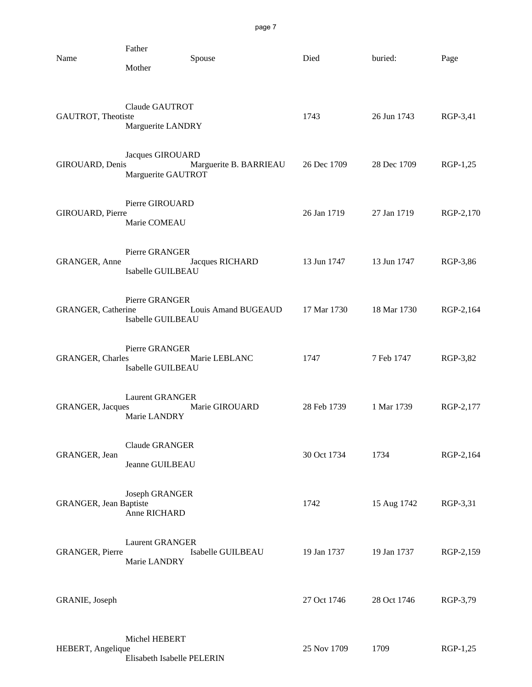| Name                           | Father<br>Mother                            | Spouse                 | Died        | buried:     | Page      |
|--------------------------------|---------------------------------------------|------------------------|-------------|-------------|-----------|
| GAUTROT, Theotiste             | Claude GAUTROT<br>Marguerite LANDRY         |                        | 1743        | 26 Jun 1743 | RGP-3,41  |
| GIROUARD, Denis                | Jacques GIROUARD<br>Marguerite GAUTROT      | Marguerite B. BARRIEAU | 26 Dec 1709 | 28 Dec 1709 | RGP-1,25  |
| GIROUARD, Pierre               | Pierre GIROUARD<br>Marie COMEAU             |                        | 26 Jan 1719 | 27 Jan 1719 | RGP-2,170 |
| GRANGER, Anne                  | Pierre GRANGER<br>Isabelle GUILBEAU         | Jacques RICHARD        | 13 Jun 1747 | 13 Jun 1747 | RGP-3,86  |
| GRANGER, Catherine             | Pierre GRANGER<br>Isabelle GUILBEAU         | Louis Amand BUGEAUD    | 17 Mar 1730 | 18 Mar 1730 | RGP-2,164 |
| GRANGER, Charles               | Pierre GRANGER<br>Isabelle GUILBEAU         | Marie LEBLANC          | 1747        | 7 Feb 1747  | RGP-3,82  |
| <b>GRANGER</b> , Jacques       | <b>Laurent GRANGER</b><br>Marie LANDRY      | Marie GIROUARD         | 28 Feb 1739 | 1 Mar 1739  | RGP-2,177 |
| GRANGER, Jean                  | <b>Claude GRANGER</b><br>Jeanne GUILBEAU    |                        | 30 Oct 1734 | 1734        | RGP-2,164 |
| <b>GRANGER</b> , Jean Baptiste | Joseph GRANGER<br>Anne RICHARD              |                        | 1742        | 15 Aug 1742 | RGP-3,31  |
| GRANGER, Pierre                | <b>Laurent GRANGER</b><br>Marie LANDRY      | Isabelle GUILBEAU      | 19 Jan 1737 | 19 Jan 1737 | RGP-2,159 |
| GRANIE, Joseph                 |                                             |                        | 27 Oct 1746 | 28 Oct 1746 | RGP-3,79  |
| HEBERT, Angelique              | Michel HEBERT<br>Elisabeth Isabelle PELERIN |                        | 25 Nov 1709 | 1709        | RGP-1,25  |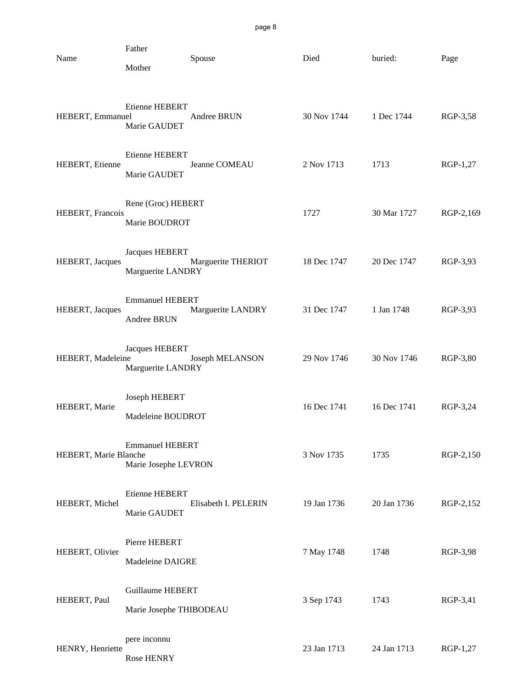| Name                  | Father<br>Mother                                   | Spouse               | Died        | buried:     | Page      |
|-----------------------|----------------------------------------------------|----------------------|-------------|-------------|-----------|
| HEBERT, Emmanuel      | <b>Etienne HEBERT</b><br>Marie GAUDET              | Andree BRUN          | 30 Nov 1744 | 1 Dec 1744  | RGP-3,58  |
| HEBERT, Etienne       | Etienne HEBERT<br>Marie GAUDET                     | Jeanne COMEAU        | 2 Nov 1713  | 1713        | RGP-1,27  |
| HEBERT, Francois      | Rene (Groc) HEBERT<br>Marie BOUDROT                |                      | 1727        | 30 Mar 1727 | RGP-2,169 |
| HEBERT, Jacques       | <b>Jacques HEBERT</b><br>Marguerite LANDRY         | Marguerite THERIOT   | 18 Dec 1747 | 20 Dec 1747 | RGP-3,93  |
| HEBERT, Jacques       | <b>Emmanuel HEBERT</b><br>Andree BRUN              | Marguerite LANDRY    | 31 Dec 1747 | 1 Jan 1748  | RGP-3,93  |
| HEBERT, Madeleine     | <b>Jacques HEBERT</b><br>Marguerite LANDRY         | Joseph MELANSON      | 29 Nov 1746 | 30 Nov 1746 | RGP-3,80  |
| HEBERT, Marie         | Joseph HEBERT<br>Madeleine BOUDROT                 |                      | 16 Dec 1741 | 16 Dec 1741 | RGP-3,24  |
| HEBERT, Marie Blanche | <b>Emmanuel HEBERT</b><br>Marie Josephe LEVRON     |                      | 3 Nov 1735  | 1735        | RGP-2,150 |
| HEBERT, Michel        | Etienne HEBERT<br>Marie GAUDET                     | Elisabeth I. PELERIN | 19 Jan 1736 | 20 Jan 1736 | RGP-2,152 |
| HEBERT, Olivier       | Pierre HEBERT<br>Madeleine DAIGRE                  |                      | 7 May 1748  | 1748        | RGP-3,98  |
| HEBERT, Paul          | <b>Guillaume HEBERT</b><br>Marie Josephe THIBODEAU |                      | 3 Sep 1743  | 1743        | RGP-3,41  |
| HENRY, Henriette      | pere inconnu                                       |                      | 23 Jan 1713 | 24 Jan 1713 | RGP-1,27  |

Rose HENRY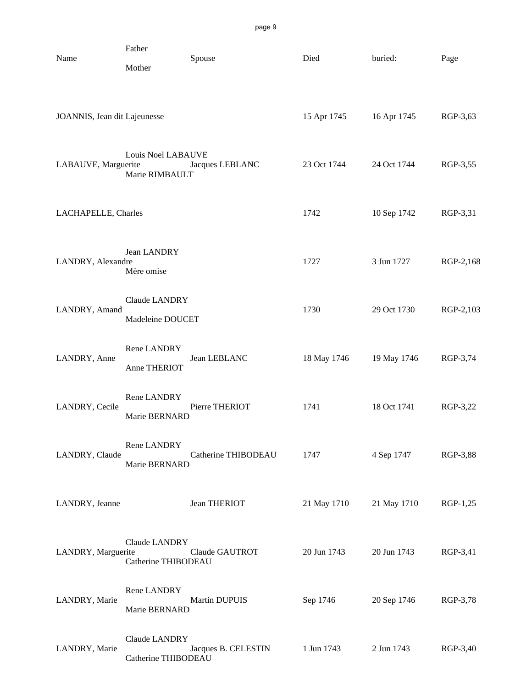| Name                         | Father<br>Mother                     | Spouse              | Died        | buried:     | Page       |
|------------------------------|--------------------------------------|---------------------|-------------|-------------|------------|
| JOANNIS, Jean dit Lajeunesse |                                      |                     | 15 Apr 1745 | 16 Apr 1745 | RGP-3,63   |
| LABAUVE, Marguerite          | Louis Noel LABAUVE<br>Marie RIMBAULT | Jacques LEBLANC     | 23 Oct 1744 | 24 Oct 1744 | RGP-3,55   |
| LACHAPELLE, Charles          |                                      |                     | 1742        | 10 Sep 1742 | RGP-3,31   |
| LANDRY, Alexandre            | Jean LANDRY<br>Mère omise            |                     | 1727        | 3 Jun 1727  | RGP-2,168  |
| LANDRY, Amand                | Claude LANDRY<br>Madeleine DOUCET    |                     | 1730        | 29 Oct 1730 | RGP-2,103  |
| LANDRY, Anne                 | Rene LANDRY<br>Anne THERIOT          | Jean LEBLANC        | 18 May 1746 | 19 May 1746 | RGP-3,74   |
| LANDRY, Cecile               | Rene LANDRY<br>Marie BERNARD         | Pierre THERIOT      | 1741        | 18 Oct 1741 | RGP-3,22   |
| LANDRY, Claude               | Rene LANDRY<br>Marie BERNARD         | Catherine THIBODEAU | 1747        | 4 Sep 1747  | RGP-3,88   |
| LANDRY, Jeanne               |                                      | Jean THERIOT        | 21 May 1710 | 21 May 1710 | $RGP-1,25$ |
| LANDRY, Marguerite           | Claude LANDRY<br>Catherine THIBODEAU | Claude GAUTROT      | 20 Jun 1743 | 20 Jun 1743 | RGP-3,41   |
| LANDRY, Marie                | Rene LANDRY<br>Marie BERNARD         | Martin DUPUIS       | Sep 1746    | 20 Sep 1746 | RGP-3,78   |
| LANDRY, Marie                | Claude LANDRY<br>Catherine THIBODEAU | Jacques B. CELESTIN | 1 Jun 1743  | 2 Jun 1743  | RGP-3,40   |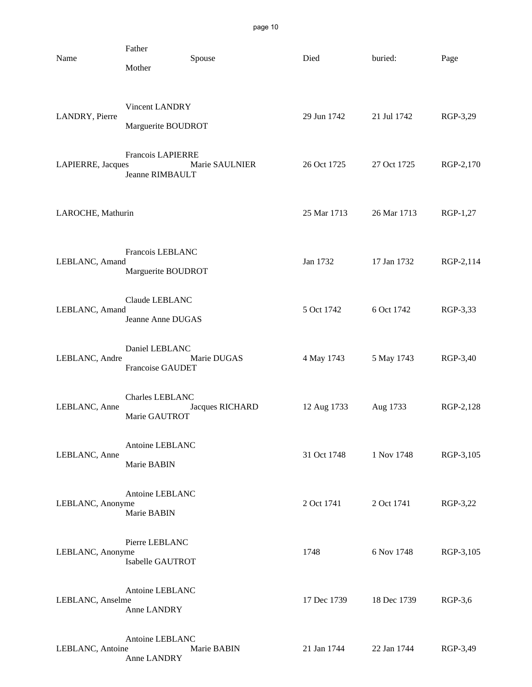| Name              | Father<br>Mother                            | Spouse          | Died        | buried:     | Page      |
|-------------------|---------------------------------------------|-----------------|-------------|-------------|-----------|
| LANDRY, Pierre    | Vincent LANDRY<br>Marguerite BOUDROT        |                 | 29 Jun 1742 | 21 Jul 1742 | RGP-3,29  |
| LAPIERRE, Jacques | Francois LAPIERRE<br><b>Jeanne RIMBAULT</b> | Marie SAULNIER  | 26 Oct 1725 | 27 Oct 1725 | RGP-2,170 |
| LAROCHE, Mathurin |                                             |                 | 25 Mar 1713 | 26 Mar 1713 | RGP-1,27  |
| LEBLANC, Amand    | Francois LEBLANC<br>Marguerite BOUDROT      |                 | Jan 1732    | 17 Jan 1732 | RGP-2,114 |
| LEBLANC, Amand    | Claude LEBLANC<br>Jeanne Anne DUGAS         |                 | 5 Oct 1742  | 6 Oct 1742  | RGP-3,33  |
| LEBLANC, Andre    | Daniel LEBLANC<br>Francoise GAUDET          | Marie DUGAS     | 4 May 1743  | 5 May 1743  | RGP-3,40  |
| LEBLANC, Anne     | Charles LEBLANC<br>Marie GAUTROT            | Jacques RICHARD | 12 Aug 1733 | Aug 1733    | RGP-2,128 |
| LEBLANC, Anne     | Antoine LEBLANC<br>Marie BABIN              |                 | 31 Oct 1748 | 1 Nov 1748  | RGP-3,105 |
| LEBLANC, Anonyme  | Antoine LEBLANC<br>Marie BABIN              |                 | 2 Oct 1741  | 2 Oct 1741  | RGP-3,22  |
| LEBLANC, Anonyme  | Pierre LEBLANC<br>Isabelle GAUTROT          |                 | 1748        | 6 Nov 1748  | RGP-3,105 |
| LEBLANC, Anselme  | Antoine LEBLANC<br>Anne LANDRY              |                 | 17 Dec 1739 | 18 Dec 1739 | RGP-3,6   |
| LEBLANC, Antoine  | Antoine LEBLANC<br>Anne LANDRY              | Marie BABIN     | 21 Jan 1744 | 22 Jan 1744 | RGP-3,49  |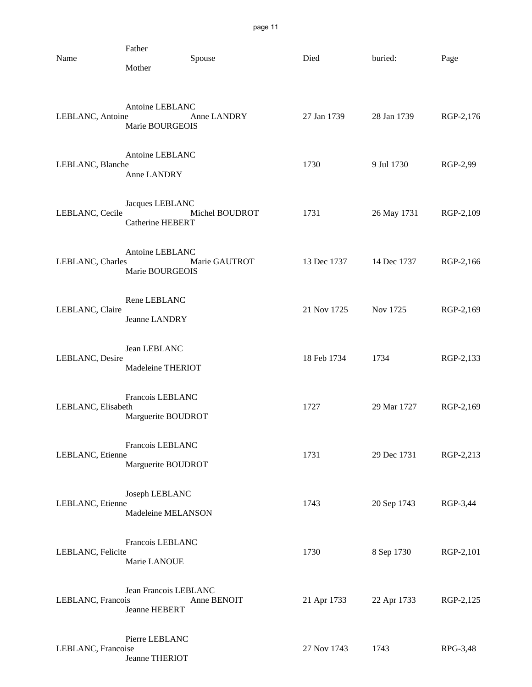| page |
|------|
|------|

| Name               | Father<br>Mother                           | Spouse         | Died        | buried:     | Page      |
|--------------------|--------------------------------------------|----------------|-------------|-------------|-----------|
| LEBLANC, Antoine   | Antoine LEBLANC<br>Marie BOURGEOIS         | Anne LANDRY    | 27 Jan 1739 | 28 Jan 1739 | RGP-2,176 |
| LEBLANC, Blanche   | Antoine LEBLANC<br>Anne LANDRY             |                | 1730        | 9 Jul 1730  | RGP-2,99  |
| LEBLANC, Cecile    | Jacques LEBLANC<br><b>Catherine HEBERT</b> | Michel BOUDROT | 1731        | 26 May 1731 | RGP-2,109 |
| LEBLANC, Charles   | Antoine LEBLANC<br>Marie BOURGEOIS         | Marie GAUTROT  | 13 Dec 1737 | 14 Dec 1737 | RGP-2,166 |
| LEBLANC, Claire    | Rene LEBLANC<br>Jeanne LANDRY              |                | 21 Nov 1725 | Nov 1725    | RGP-2,169 |
| LEBLANC, Desire    | Jean LEBLANC<br>Madeleine THERIOT          |                | 18 Feb 1734 | 1734        | RGP-2,133 |
| LEBLANC, Elisabeth | Francois LEBLANC<br>Marguerite BOUDROT     |                | 1727        | 29 Mar 1727 | RGP-2,169 |
| LEBLANC, Etienne   | Francois LEBLANC<br>Marguerite BOUDROT     |                | 1731        | 29 Dec 1731 | RGP-2,213 |
| LEBLANC, Etienne   | Joseph LEBLANC<br>Madeleine MELANSON       |                | 1743        | 20 Sep 1743 | RGP-3,44  |
| LEBLANC, Felicite  | Francois LEBLANC<br>Marie LANOUE           |                | 1730        | 8 Sep 1730  | RGP-2,101 |
| LEBLANC, Francois  | Jean Francois LEBLANC<br>Jeanne HEBERT     | Anne BENOIT    | 21 Apr 1733 | 22 Apr 1733 | RGP-2,125 |
| LEBLANC, Francoise | Pierre LEBLANC<br>Jeanne THERIOT           |                | 27 Nov 1743 | 1743        | RPG-3,48  |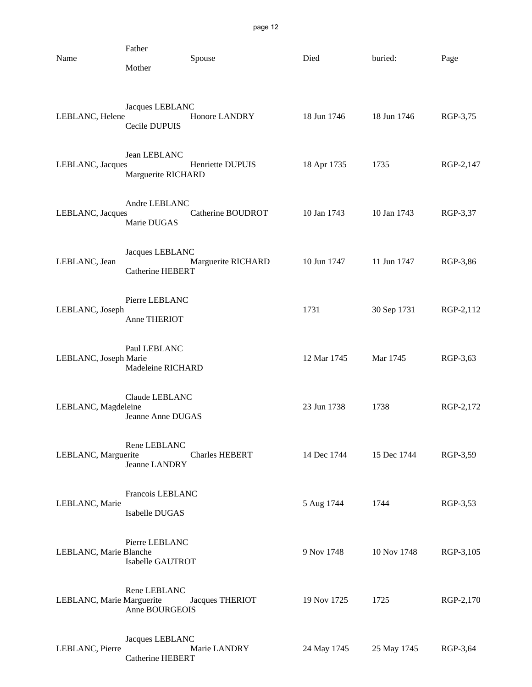| Name                      | Father<br>Mother                           | Spouse                | Died        | buried:     | Page      |
|---------------------------|--------------------------------------------|-----------------------|-------------|-------------|-----------|
| LEBLANC, Helene           | Jacques LEBLANC<br>Cecile DUPUIS           | Honore LANDRY         | 18 Jun 1746 | 18 Jun 1746 | RGP-3,75  |
| LEBLANC, Jacques          | Jean LEBLANC<br>Marguerite RICHARD         | Henriette DUPUIS      | 18 Apr 1735 | 1735        | RGP-2,147 |
| LEBLANC, Jacques          | Andre LEBLANC<br>Marie DUGAS               | Catherine BOUDROT     | 10 Jan 1743 | 10 Jan 1743 | RGP-3,37  |
| LEBLANC, Jean             | Jacques LEBLANC<br><b>Catherine HEBERT</b> | Marguerite RICHARD    | 10 Jun 1747 | 11 Jun 1747 | RGP-3,86  |
| LEBLANC, Joseph           | Pierre LEBLANC<br>Anne THERIOT             |                       | 1731        | 30 Sep 1731 | RGP-2,112 |
| LEBLANC, Joseph Marie     | Paul LEBLANC<br>Madeleine RICHARD          |                       | 12 Mar 1745 | Mar 1745    | RGP-3,63  |
| LEBLANC, Magdeleine       | Claude LEBLANC<br>Jeanne Anne DUGAS        |                       | 23 Jun 1738 | 1738        | RGP-2,172 |
| LEBLANC, Marguerite       | Rene LEBLANC<br>Jeanne LANDRY              | <b>Charles HEBERT</b> | 14 Dec 1744 | 15 Dec 1744 | RGP-3,59  |
| LEBLANC, Marie            | Francois LEBLANC<br>Isabelle DUGAS         |                       | 5 Aug 1744  | 1744        | RGP-3,53  |
| LEBLANC, Marie Blanche    | Pierre LEBLANC<br>Isabelle GAUTROT         |                       | 9 Nov 1748  | 10 Nov 1748 | RGP-3,105 |
| LEBLANC, Marie Marguerite | Rene LEBLANC<br>Anne BOURGEOIS             | Jacques THERIOT       | 19 Nov 1725 | 1725        | RGP-2,170 |
| LEBLANC, Pierre           | Jacques LEBLANC<br>Catherine HEBERT        | Marie LANDRY          | 24 May 1745 | 25 May 1745 | RGP-3,64  |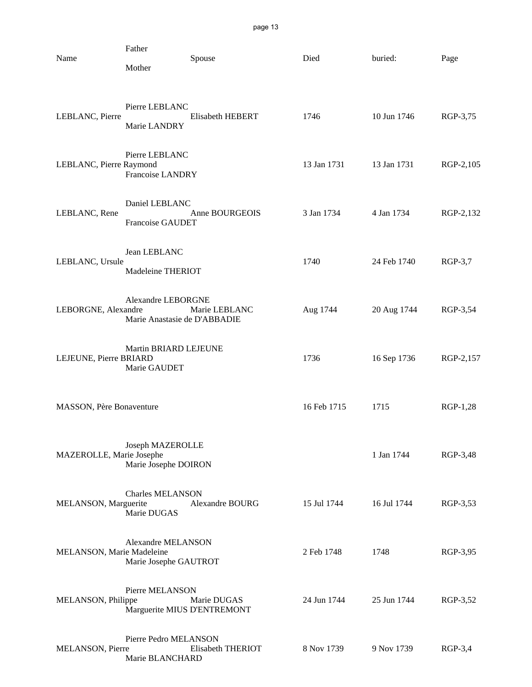| Name                      | Father<br>Mother                                   | Spouse            | Died        | buried:     | Page      |
|---------------------------|----------------------------------------------------|-------------------|-------------|-------------|-----------|
| LEBLANC, Pierre           | Pierre LEBLANC<br>Marie LANDRY                     | Elisabeth HEBERT  | 1746        | 10 Jun 1746 | RGP-3,75  |
| LEBLANC, Pierre Raymond   | Pierre LEBLANC<br>Francoise LANDRY                 |                   | 13 Jan 1731 | 13 Jan 1731 | RGP-2,105 |
| LEBLANC, Rene             | Daniel LEBLANC<br>Francoise GAUDET                 | Anne BOURGEOIS    | 3 Jan 1734  | 4 Jan 1734  | RGP-2,132 |
| LEBLANC, Ursule           | Jean LEBLANC<br>Madeleine THERIOT                  |                   | 1740        | 24 Feb 1740 | $RGP-3,7$ |
| LEBORGNE, Alexandre       | Alexandre LEBORGNE<br>Marie Anastasie de D'ABBADIE | Marie LEBLANC     | Aug 1744    | 20 Aug 1744 | RGP-3,54  |
| LEJEUNE, Pierre BRIARD    | Martin BRIARD LEJEUNE<br>Marie GAUDET              |                   | 1736        | 16 Sep 1736 | RGP-2,157 |
| MASSON, Père Bonaventure  |                                                    |                   | 16 Feb 1715 | 1715        | RGP-1,28  |
| MAZEROLLE, Marie Josephe  | Joseph MAZEROLLE<br>Marie Josephe DOIRON           |                   |             | 1 Jan 1744  | RGP-3,48  |
| MELANSON, Marguerite      | <b>Charles MELANSON</b><br>Marie DUGAS             | Alexandre BOURG   | 15 Jul 1744 | 16 Jul 1744 | RGP-3,53  |
| MELANSON, Marie Madeleine | <b>Alexandre MELANSON</b><br>Marie Josephe GAUTROT |                   | 2 Feb 1748  | 1748        | RGP-3,95  |
| MELANSON, Philippe        | Pierre MELANSON<br>Marguerite MIUS D'ENTREMONT     | Marie DUGAS       | 24 Jun 1744 | 25 Jun 1744 | RGP-3,52  |
| MELANSON, Pierre          | Pierre Pedro MELANSON<br>Marie BLANCHARD           | Elisabeth THERIOT | 8 Nov 1739  | 9 Nov 1739  | RGP-3,4   |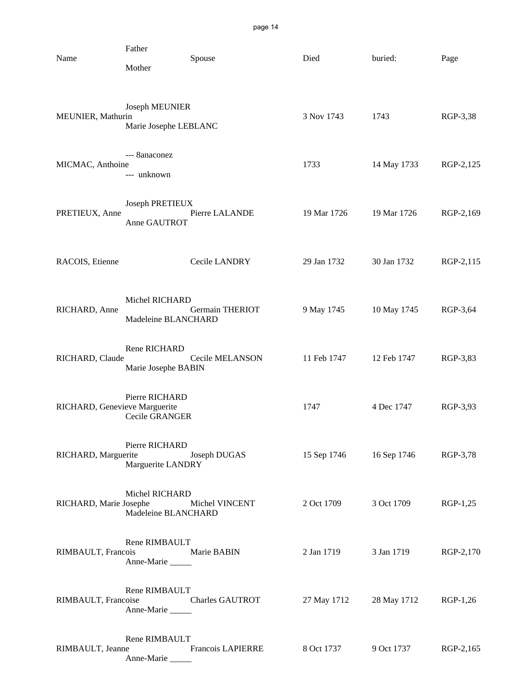| Name                          | Father<br>Mother                        | Spouse                 | Died                    | buried:     | Page      |
|-------------------------------|-----------------------------------------|------------------------|-------------------------|-------------|-----------|
| MEUNIER, Mathurin             | Joseph MEUNIER<br>Marie Josephe LEBLANC |                        | 3 Nov 1743              | 1743        | RGP-3,38  |
| MICMAC, Anthoine              | --- 8anaconez<br>--- unknown            |                        | 1733                    | 14 May 1733 | RGP-2,125 |
| PRETIEUX, Anne                | Joseph PRETIEUX<br>Anne GAUTROT         | Pierre LALANDE         | 19 Mar 1726             | 19 Mar 1726 | RGP-2,169 |
| RACOIS, Etienne               |                                         | Cecile LANDRY          | 29 Jan 1732             | 30 Jan 1732 | RGP-2,115 |
| RICHARD, Anne                 | Michel RICHARD<br>Madeleine BLANCHARD   | <b>Germain THERIOT</b> | 9 May 1745              | 10 May 1745 | RGP-3,64  |
| RICHARD, Claude               | Rene RICHARD<br>Marie Josephe BABIN     | Cecile MELANSON        | 11 Feb 1747             | 12 Feb 1747 | RGP-3,83  |
| RICHARD, Genevieve Marguerite | Pierre RICHARD<br>Cecile GRANGER        |                        | 1747                    | 4 Dec 1747  | RGP-3,93  |
| RICHARD, Marguerite           | Pierre RICHARD<br>Marguerite LANDRY     | Joseph DUGAS           | 15 Sep 1746 16 Sep 1746 |             | RGP-3,78  |
| RICHARD, Marie Josephe        | Michel RICHARD<br>Madeleine BLANCHARD   | Michel VINCENT         | 2 Oct 1709              | 3 Oct 1709  | RGP-1,25  |
| RIMBAULT, Francois            | Rene RIMBAULT<br>Anne-Marie             | Marie BABIN            | 2 Jan 1719              | 3 Jan 1719  | RGP-2,170 |
| RIMBAULT, Francoise           | Rene RIMBAULT<br>Anne-Marie             | <b>Charles GAUTROT</b> | 27 May 1712             | 28 May 1712 | RGP-1,26  |
| RIMBAULT, Jeanne              | Rene RIMBAULT<br>Anne-Marie             | Francois LAPIERRE      | 8 Oct 1737              | 9 Oct 1737  | RGP-2,165 |